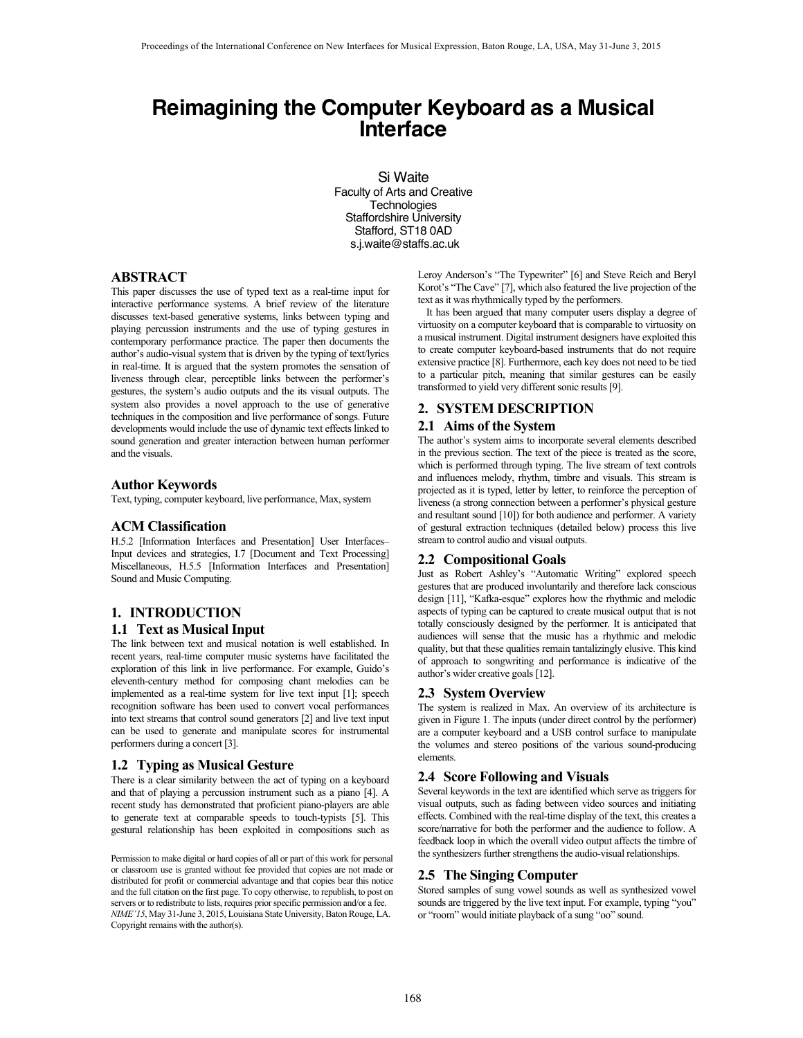# **Reimagining the Computer Keyboard as a Musical Interface**

Si Waite Faculty of Arts and Creative **Technologies** Staffordshire University Stafford, ST18 0AD s.j.waite@staffs.ac.uk

### **ABSTRACT**

This paper discusses the use of typed text as a real-time input for interactive performance systems. A brief review of the literature discusses text-based generative systems, links between typing and playing percussion instruments and the use of typing gestures in contemporary performance practice. The paper then documents the author's audio-visual system that is driven by the typing of text/lyrics in real-time. It is argued that the system promotes the sensation of liveness through clear, perceptible links between the performer's gestures, the system's audio outputs and the its visual outputs. The system also provides a novel approach to the use of generative techniques in the composition and live performance of songs. Future developments would include the use of dynamic text effects linked to sound generation and greater interaction between human performer and the visuals.

## **Author Keywords**

Text, typing, computer keyboard, live performance, Max, system

## **ACM Classification**

H.5.2 [Information Interfaces and Presentation] User Interfaces– Input devices and strategies, I.7 [Document and Text Processing] Miscellaneous, H.5.5 [Information Interfaces and Presentation] Sound and Music Computing.

# **1. INTRODUCTION 1.1 Text as Musical Input**

The link between text and musical notation is well established. In recent years, real-time computer music systems have facilitated the exploration of this link in live performance. For example, Guido's eleventh-century method for composing chant melodies can be implemented as a real-time system for live text input [1]; speech recognition software has been used to convert vocal performances into text streams that control sound generators [2] and live text input can be used to generate and manipulate scores for instrumental performers during a concert [3].

### **1.2 Typing as Musical Gesture**

There is a clear similarity between the act of typing on a keyboard and that of playing a percussion instrument such as a piano [4]. A recent study has demonstrated that proficient piano-players are able to generate text at comparable speeds to touch-typists [5]. This gestural relationship has been exploited in compositions such as

Permission to make digital or hard copies of all or part of this work for personal or classroom use is granted without fee provided that copies are not made or distributed for profit or commercial advantage and that copies bear this notice and the full citation on the first page. To copy otherwise, to republish, to post on servers or to redistribute to lists, requires prior specific permission and/or a fee. *NIME'15*, May 31-June 3, 2015, Louisiana State University, Baton Rouge, LA. Copyright remains with the author(s).

Leroy Anderson's "The Typewriter" [6] and Steve Reich and Beryl Korot's "The Cave" [7], which also featured the live projection of the text as it was rhythmically typed by the performers.

It has been argued that many computer users display a degree of virtuosity on a computer keyboard that is comparable to virtuosity on a musical instrument. Digital instrument designers have exploited this to create computer keyboard-based instruments that do not require extensive practice [8]. Furthermore, each key does not need to be tied to a particular pitch, meaning that similar gestures can be easily transformed to yield very different sonic results [9].

# **2. SYSTEM DESCRIPTION**

## **2.1 Aims of the System**

The author's system aims to incorporate several elements described in the previous section. The text of the piece is treated as the score, which is performed through typing. The live stream of text controls and influences melody, rhythm, timbre and visuals. This stream is projected as it is typed, letter by letter, to reinforce the perception of liveness (a strong connection between a performer's physical gesture and resultant sound [10]) for both audience and performer. A variety of gestural extraction techniques (detailed below) process this live stream to control audio and visual outputs.

#### **2.2 Compositional Goals**

Just as Robert Ashley's "Automatic Writing" explored speech gestures that are produced involuntarily and therefore lack conscious design [11], "Kafka-esque" explores how the rhythmic and melodic aspects of typing can be captured to create musical output that is not totally consciously designed by the performer. It is anticipated that audiences will sense that the music has a rhythmic and melodic quality, but that these qualities remain tantalizingly elusive. This kind of approach to songwriting and performance is indicative of the author's wider creative goals [12].

#### **2.3 System Overview**

The system is realized in Max. An overview of its architecture is given in Figure 1. The inputs (under direct control by the performer) are a computer keyboard and a USB control surface to manipulate the volumes and stereo positions of the various sound-producing elements.

## **2.4 Score Following and Visuals**

Several keywords in the text are identified which serve as triggers for visual outputs, such as fading between video sources and initiating effects. Combined with the real-time display of the text, this creates a score/narrative for both the performer and the audience to follow. A feedback loop in which the overall video output affects the timbre of the synthesizers further strengthens the audio-visual relationships.

# **2.5 The Singing Computer**

Stored samples of sung vowel sounds as well as synthesized vowel sounds are triggered by the live text input. For example, typing "you" or "room" would initiate playback of a sung "oo" sound.